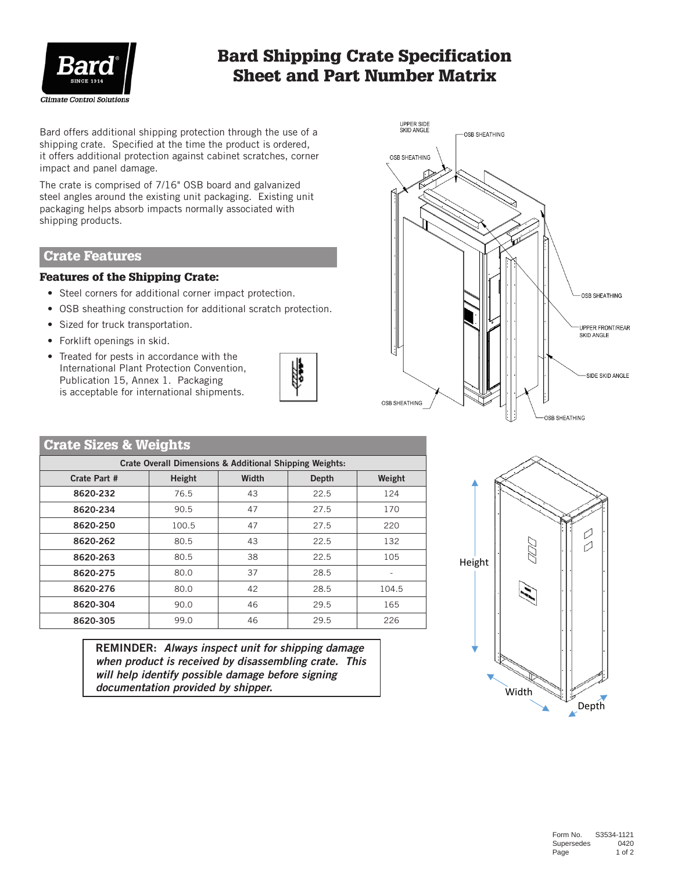

# Bard Shipping Crate Specification Sheet and Part Number Matrix

Bard offers additional shipping protection through the use of a shipping crate. Specified at the time the product is ordered, it offers additional protection against cabinet scratches, corner impact and panel damage.

The crate is comprised of 7/16" OSB board and galvanized steel angles around the existing unit packaging. Existing unit packaging helps absorb impacts normally associated with shipping products.

## Crate Features

#### Features of the Shipping Crate:

- Steel corners for additional corner impact protection.
- OSB sheathing construction for additional scratch protection.
- Sized for truck transportation.
- Forklift openings in skid.
- Treated for pests in accordance with the International Plant Protection Convention, Publication 15, Annex 1. Packaging is acceptable for international shipments.





## Crate Sizes & Weights

| <b>Crate Overall Dimensions &amp; Additional Shipping Weights:</b> |        |       |       |        |  |  |
|--------------------------------------------------------------------|--------|-------|-------|--------|--|--|
| Crate Part #                                                       | Height | Width | Depth | Weight |  |  |
| 8620-232                                                           | 76.5   | 43    | 22.5  | 124    |  |  |
| 8620-234                                                           | 90.5   | 47    | 27.5  | 170    |  |  |
| 8620-250                                                           | 100.5  | 47    | 27.5  | 220    |  |  |
| 8620-262                                                           | 80.5   | 43    | 22.5  | 132    |  |  |
| 8620-263                                                           | 80.5   | 38    | 22.5  | 105    |  |  |
| 8620-275                                                           | 80.0   | 37    | 28.5  |        |  |  |
| 8620-276                                                           | 80.0   | 42    | 28.5  | 104.5  |  |  |
| 8620-304                                                           | 90.0   | 46    | 29.5  | 165    |  |  |
| 8620-305                                                           | 99.0   | 46    | 29.5  | 226    |  |  |

REMINDER: *Always inspect unit for shipping damage when product is received by disassembling crate. This will help identify possible damage before signing documentation provided by shipper.*